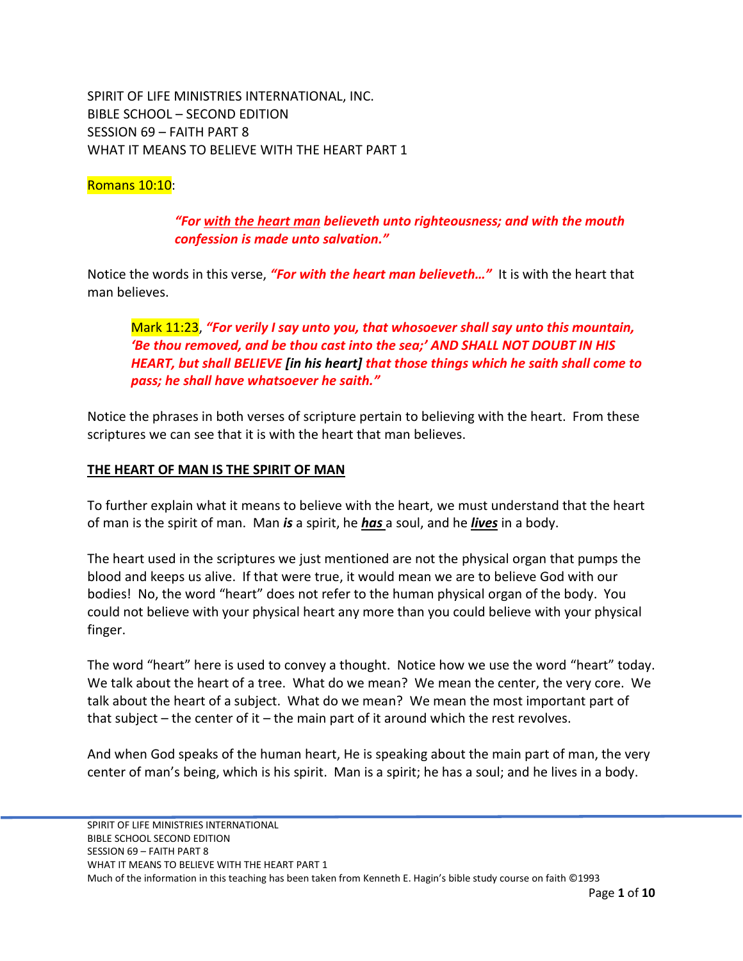SPIRIT OF LIFE MINISTRIES INTERNATIONAL, INC. BIBLE SCHOOL – SECOND EDITION SESSION 69 – FAITH PART 8 WHAT IT MEANS TO BELIEVE WITH THE HEART PART 1

#### Romans 10:10:

### *"For with the heart man believeth unto righteousness; and with the mouth confession is made unto salvation."*

Notice the words in this verse, *"For with the heart man believeth…"* It is with the heart that man believes.

# Mark 11:23, *"For verily I say unto you, that whosoever shall say unto this mountain, 'Be thou removed, and be thou cast into the sea;' AND SHALL NOT DOUBT IN HIS HEART, but shall BELIEVE [in his heart] that those things which he saith shall come to pass; he shall have whatsoever he saith."*

Notice the phrases in both verses of scripture pertain to believing with the heart. From these scriptures we can see that it is with the heart that man believes.

#### **THE HEART OF MAN IS THE SPIRIT OF MAN**

To further explain what it means to believe with the heart, we must understand that the heart of man is the spirit of man. Man *is* a spirit, he *has* a soul, and he *lives* in a body.

The heart used in the scriptures we just mentioned are not the physical organ that pumps the blood and keeps us alive. If that were true, it would mean we are to believe God with our bodies! No, the word "heart" does not refer to the human physical organ of the body. You could not believe with your physical heart any more than you could believe with your physical finger.

The word "heart" here is used to convey a thought. Notice how we use the word "heart" today. We talk about the heart of a tree. What do we mean? We mean the center, the very core. We talk about the heart of a subject. What do we mean? We mean the most important part of that subject  $-$  the center of it  $-$  the main part of it around which the rest revolves.

And when God speaks of the human heart, He is speaking about the main part of man, the very center of man's being, which is his spirit. Man is a spirit; he has a soul; and he lives in a body.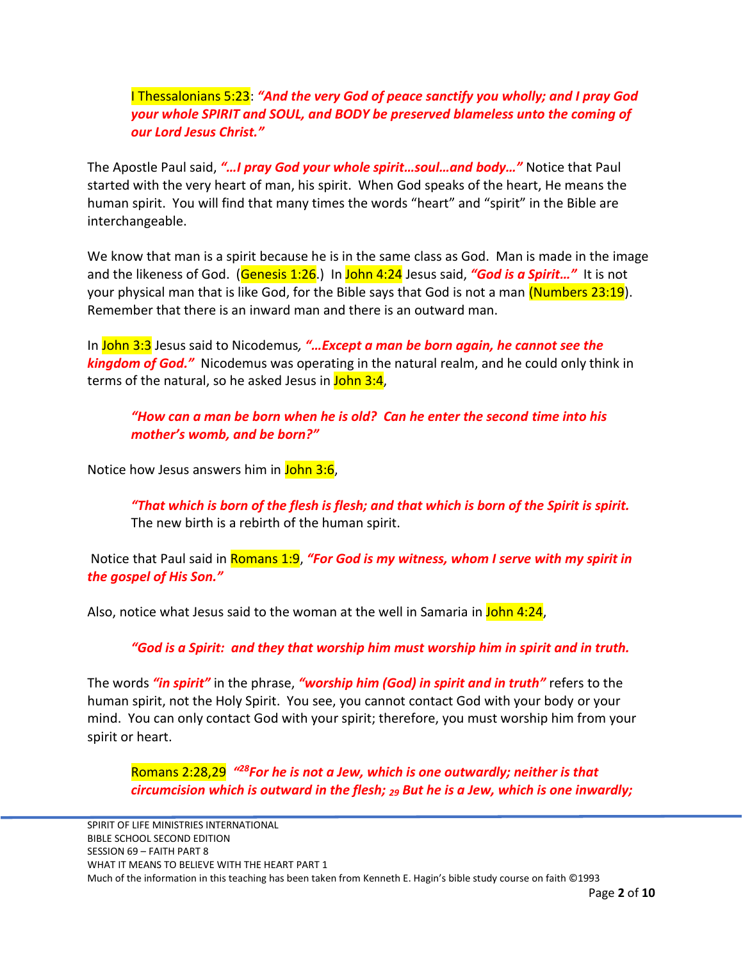## I Thessalonians 5:23: *"And the very God of peace sanctify you wholly; and I pray God your whole SPIRIT and SOUL, and BODY be preserved blameless unto the coming of our Lord Jesus Christ."*

The Apostle Paul said, *"…I pray God your whole spirit…soul…and body…"* Notice that Paul started with the very heart of man, his spirit. When God speaks of the heart, He means the human spirit. You will find that many times the words "heart" and "spirit" in the Bible are interchangeable.

We know that man is a spirit because he is in the same class as God. Man is made in the image and the likeness of God. (Genesis 1:26.) In John 4:24 Jesus said, *"God is a Spirit…"* It is not your physical man that is like God, for the Bible says that God is not a man (Numbers 23:19). Remember that there is an inward man and there is an outward man.

In John 3:3 Jesus said to Nicodemus*, "…Except a man be born again, he cannot see the kingdom of God."* Nicodemus was operating in the natural realm, and he could only think in terms of the natural, so he asked Jesus in John 3:4,

*"How can a man be born when he is old? Can he enter the second time into his mother's womb, and be born?"*

Notice how Jesus answers him in John 3:6,

*"That which is born of the flesh is flesh; and that which is born of the Spirit is spirit.*  The new birth is a rebirth of the human spirit.

Notice that Paul said in Romans 1:9, *"For God is my witness, whom I serve with my spirit in the gospel of His Son."* 

Also, notice what Jesus said to the woman at the well in Samaria in John 4:24,

*"God is a Spirit: and they that worship him must worship him in spirit and in truth.*

The words *"in spirit"* in the phrase, *"worship him (God) in spirit and in truth"* refers to the human spirit, not the Holy Spirit. You see, you cannot contact God with your body or your mind. You can only contact God with your spirit; therefore, you must worship him from your spirit or heart.

Romans 2:28,29 <sup>"28</sup>For he is not a Jew, which is one outwardly; neither is that *circumcision which is outward in the flesh; <sup>29</sup> But he is a Jew, which is one inwardly;*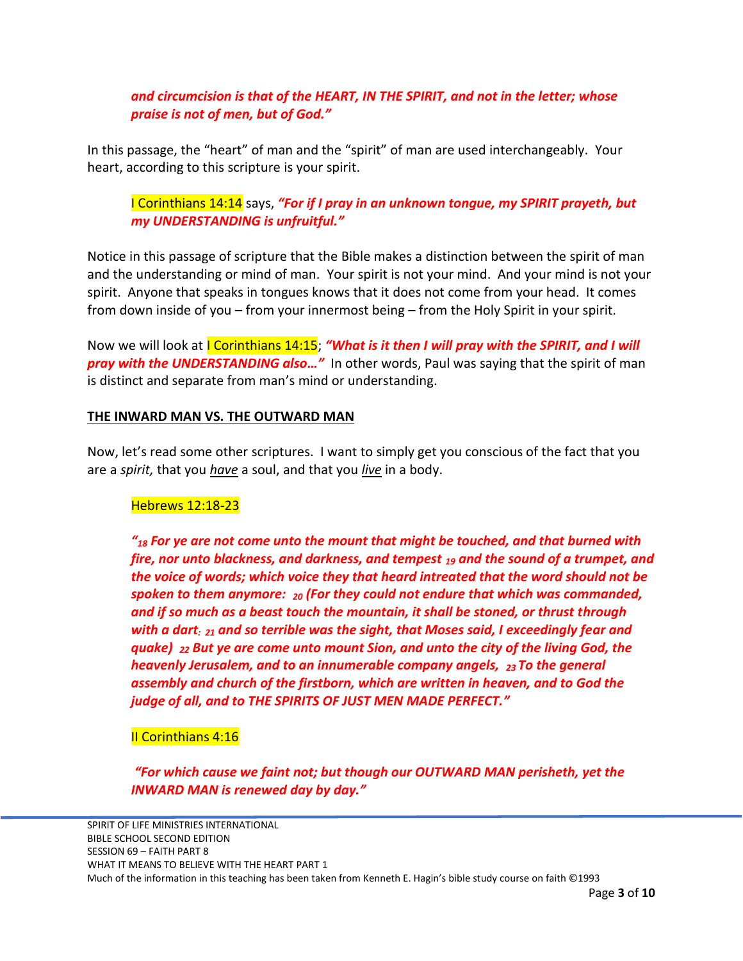# *and circumcision is that of the HEART, IN THE SPIRIT, and not in the letter; whose praise is not of men, but of God."*

In this passage, the "heart" of man and the "spirit" of man are used interchangeably. Your heart, according to this scripture is your spirit.

# I Corinthians 14:14 says, *"For if I pray in an unknown tongue, my SPIRIT prayeth, but my UNDERSTANDING is unfruitful."*

Notice in this passage of scripture that the Bible makes a distinction between the spirit of man and the understanding or mind of man. Your spirit is not your mind. And your mind is not your spirit. Anyone that speaks in tongues knows that it does not come from your head. It comes from down inside of you – from your innermost being – from the Holy Spirit in your spirit.

Now we will look at I Corinthians 14:15; *"What is it then I will pray with the SPIRIT, and I will pray with the UNDERSTANDING also…"* In other words, Paul was saying that the spirit of man is distinct and separate from man's mind or understanding.

### **THE INWARD MAN VS. THE OUTWARD MAN**

Now, let's read some other scriptures. I want to simply get you conscious of the fact that you are a *spirit,* that you *have* a soul, and that you *live* in a body.

#### Hebrews 12:18-23

*"<sup>18</sup> For ye are not come unto the mount that might be touched, and that burned with fire, nor unto blackness, and darkness, and tempest <sup>19</sup> and the sound of a trumpet, and the voice of words; which voice they that heard intreated that the word should not be spoken to them anymore: <sup>20</sup> (For they could not endure that which was commanded, and if so much as a beast touch the mountain, it shall be stoned, or thrust through with a dart: 21 and so terrible was the sight, that Moses said, I exceedingly fear and quake) <sup>22</sup> But ye are come unto mount Sion, and unto the city of the living God, the heavenly Jerusalem, and to an innumerable company angels, 23 To the general assembly and church of the firstborn, which are written in heaven, and to God the judge of all, and to THE SPIRITS OF JUST MEN MADE PERFECT."*

### II Corinthians 4:16

*"For which cause we faint not; but though our OUTWARD MAN perisheth, yet the INWARD MAN is renewed day by day."*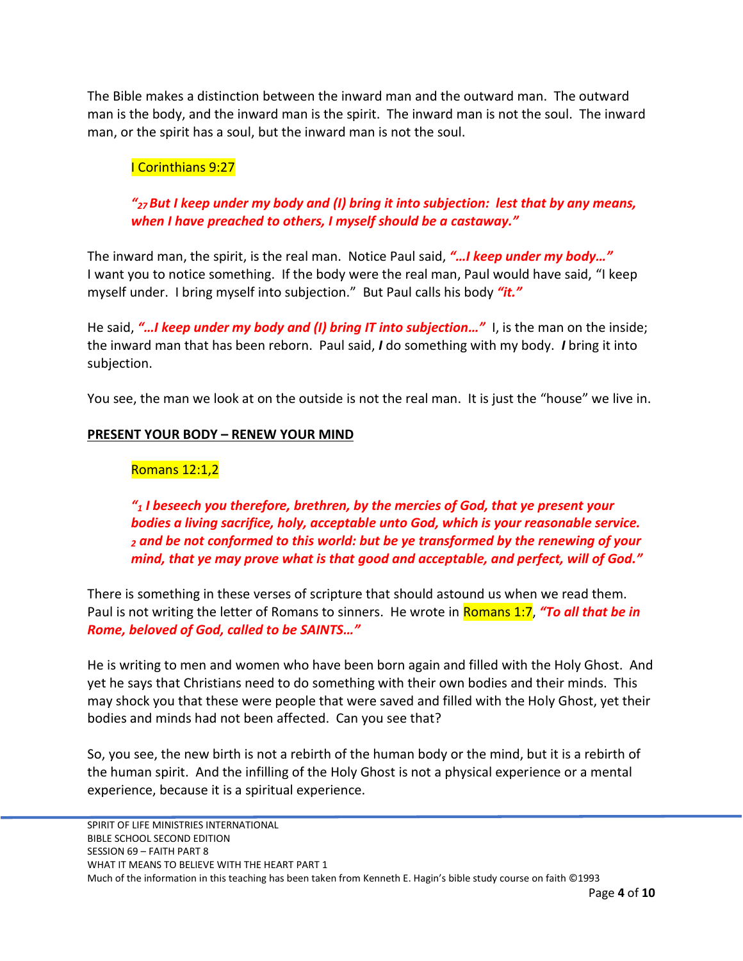The Bible makes a distinction between the inward man and the outward man. The outward man is the body, and the inward man is the spirit. The inward man is not the soul. The inward man, or the spirit has a soul, but the inward man is not the soul.

### I Corinthians 9:27

# *"<sup>27</sup> But I keep under my body and (I) bring it into subjection: lest that by any means, when I have preached to others, I myself should be a castaway."*

The inward man, the spirit, is the real man. Notice Paul said, *"…I keep under my body…"* I want you to notice something. If the body were the real man, Paul would have said, "I keep myself under. I bring myself into subjection." But Paul calls his body *"it."*

He said, *"…I keep under my body and (I) bring IT into subjection…"* I, is the man on the inside; the inward man that has been reborn. Paul said, *I* do something with my body. *I* bring it into subjection.

You see, the man we look at on the outside is not the real man. It is just the "house" we live in.

### **PRESENT YOUR BODY – RENEW YOUR MIND**

### Romans 12:1,2

*"<sup>1</sup> I beseech you therefore, brethren, by the mercies of God, that ye present your bodies a living sacrifice, holy, acceptable unto God, which is your reasonable service. <sup>2</sup> and be not conformed to this world: but be ye transformed by the renewing of your mind, that ye may prove what is that good and acceptable, and perfect, will of God."*

There is something in these verses of scripture that should astound us when we read them. Paul is not writing the letter of Romans to sinners. He wrote in Romans 1:7, *"To all that be in Rome, beloved of God, called to be SAINTS…"* 

He is writing to men and women who have been born again and filled with the Holy Ghost. And yet he says that Christians need to do something with their own bodies and their minds. This may shock you that these were people that were saved and filled with the Holy Ghost, yet their bodies and minds had not been affected. Can you see that?

So, you see, the new birth is not a rebirth of the human body or the mind, but it is a rebirth of the human spirit. And the infilling of the Holy Ghost is not a physical experience or a mental experience, because it is a spiritual experience.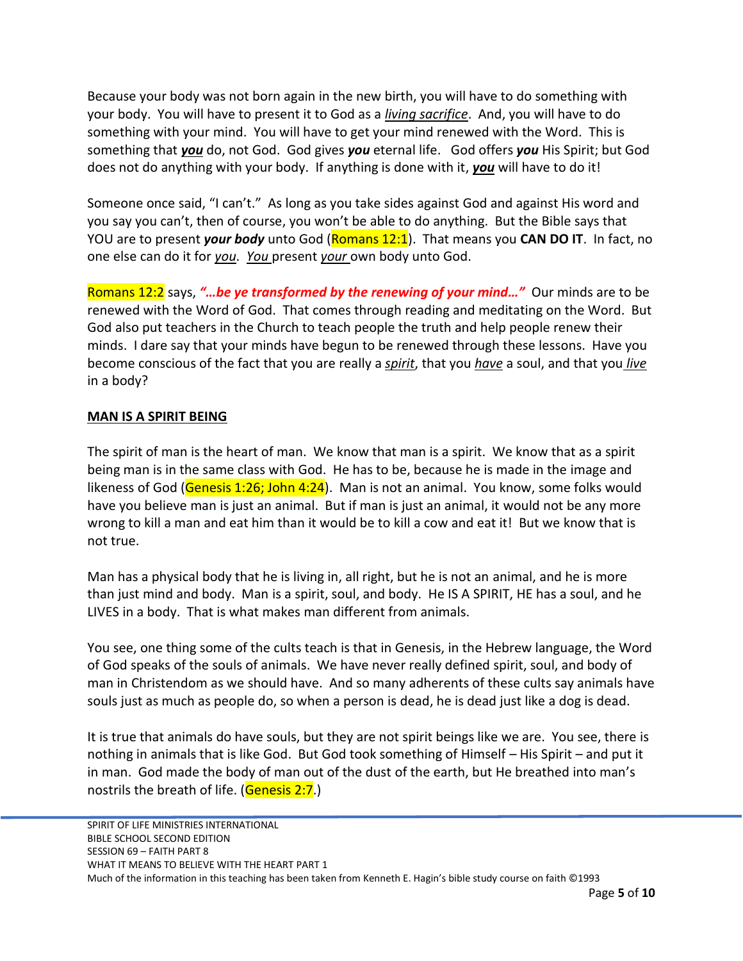Because your body was not born again in the new birth, you will have to do something with your body. You will have to present it to God as a *living sacrifice*. And, you will have to do something with your mind. You will have to get your mind renewed with the Word. This is something that *you* do, not God. God gives *you* eternal life. God offers *you* His Spirit; but God does not do anything with your body. If anything is done with it, *you* will have to do it!

Someone once said, "I can't." As long as you take sides against God and against His word and you say you can't, then of course, you won't be able to do anything. But the Bible says that YOU are to present *your body* unto God (Romans 12:1). That means you **CAN DO IT**. In fact, no one else can do it for *you*. *You* present *your* own body unto God.

Romans 12:2 says, *"…be ye transformed by the renewing of your mind…"* Our minds are to be renewed with the Word of God. That comes through reading and meditating on the Word. But God also put teachers in the Church to teach people the truth and help people renew their minds. I dare say that your minds have begun to be renewed through these lessons. Have you become conscious of the fact that you are really a *spirit*, that you *have* a soul, and that you *live* in a body?

### **MAN IS A SPIRIT BEING**

The spirit of man is the heart of man. We know that man is a spirit. We know that as a spirit being man is in the same class with God. He has to be, because he is made in the image and likeness of God (Genesis 1:26; John 4:24). Man is not an animal. You know, some folks would have you believe man is just an animal. But if man is just an animal, it would not be any more wrong to kill a man and eat him than it would be to kill a cow and eat it! But we know that is not true.

Man has a physical body that he is living in, all right, but he is not an animal, and he is more than just mind and body. Man is a spirit, soul, and body. He IS A SPIRIT, HE has a soul, and he LIVES in a body. That is what makes man different from animals.

You see, one thing some of the cults teach is that in Genesis, in the Hebrew language, the Word of God speaks of the souls of animals. We have never really defined spirit, soul, and body of man in Christendom as we should have. And so many adherents of these cults say animals have souls just as much as people do, so when a person is dead, he is dead just like a dog is dead.

It is true that animals do have souls, but they are not spirit beings like we are. You see, there is nothing in animals that is like God. But God took something of Himself – His Spirit – and put it in man. God made the body of man out of the dust of the earth, but He breathed into man's nostrils the breath of life. (Genesis 2:7.)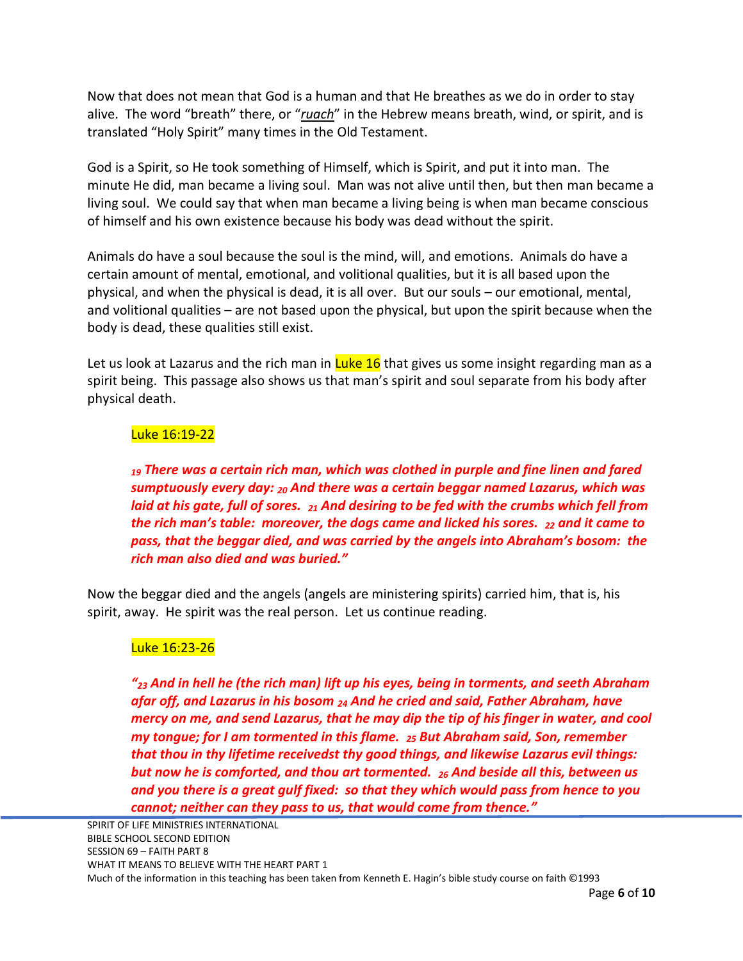Now that does not mean that God is a human and that He breathes as we do in order to stay alive. The word "breath" there, or "*ruach*" in the Hebrew means breath, wind, or spirit, and is translated "Holy Spirit" many times in the Old Testament.

God is a Spirit, so He took something of Himself, which is Spirit, and put it into man. The minute He did, man became a living soul. Man was not alive until then, but then man became a living soul. We could say that when man became a living being is when man became conscious of himself and his own existence because his body was dead without the spirit.

Animals do have a soul because the soul is the mind, will, and emotions. Animals do have a certain amount of mental, emotional, and volitional qualities, but it is all based upon the physical, and when the physical is dead, it is all over. But our souls – our emotional, mental, and volitional qualities – are not based upon the physical, but upon the spirit because when the body is dead, these qualities still exist.

Let us look at Lazarus and the rich man in  $Luke 16$  that gives us some insight regarding man as a spirit being. This passage also shows us that man's spirit and soul separate from his body after physical death.

### Luke 16:19-22

*<sup>19</sup> There was a certain rich man, which was clothed in purple and fine linen and fared sumptuously every day: <sup>20</sup> And there was a certain beggar named Lazarus, which was laid at his gate, full of sores. <sup>21</sup> And desiring to be fed with the crumbs which fell from the rich man's table: moreover, the dogs came and licked his sores. <sup>22</sup> and it came to pass, that the beggar died, and was carried by the angels into Abraham's bosom: the rich man also died and was buried."*

Now the beggar died and the angels (angels are ministering spirits) carried him, that is, his spirit, away. He spirit was the real person. Let us continue reading.

### Luke 16:23-26

*"<sup>23</sup> And in hell he (the rich man) lift up his eyes, being in torments, and seeth Abraham afar off, and Lazarus in his bosom <sup>24</sup> And he cried and said, Father Abraham, have mercy on me, and send Lazarus, that he may dip the tip of his finger in water, and cool my tongue; for I am tormented in this flame. <sup>25</sup> But Abraham said, Son, remember that thou in thy lifetime receivedst thy good things, and likewise Lazarus evil things: but now he is comforted, and thou art tormented. <sup>26</sup> And beside all this, between us and you there is a great gulf fixed: so that they which would pass from hence to you cannot; neither can they pass to us, that would come from thence."*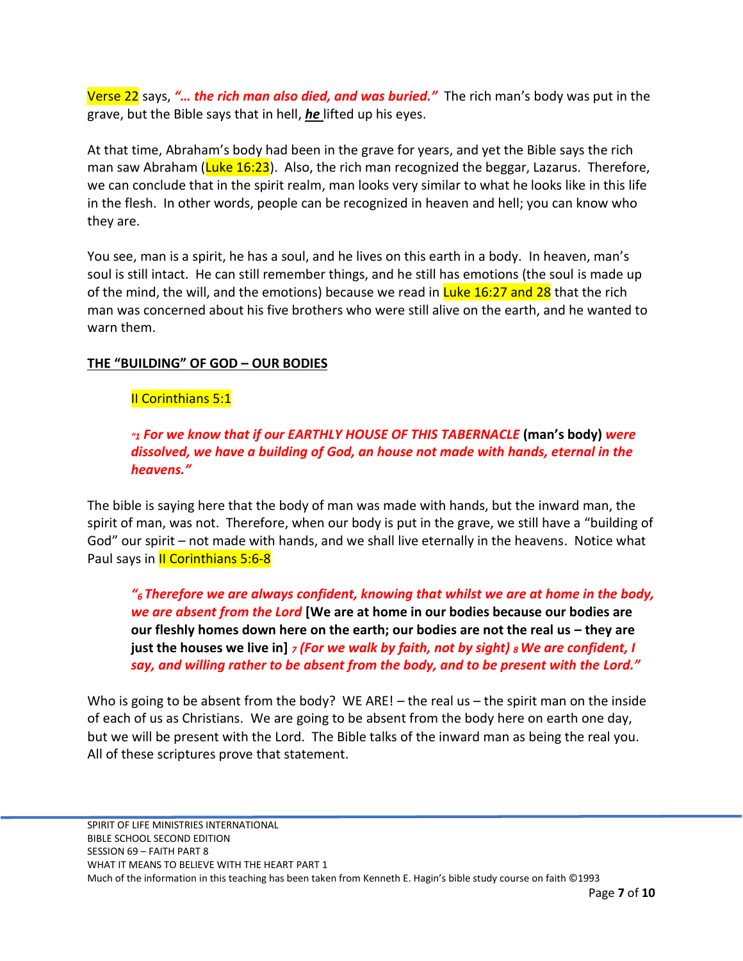Verse 22 says, *"… the rich man also died, and was buried."* The rich man's body was put in the grave, but the Bible says that in hell, *he* lifted up his eyes.

At that time, Abraham's body had been in the grave for years, and yet the Bible says the rich man saw Abraham (Luke 16:23). Also, the rich man recognized the beggar, Lazarus. Therefore, we can conclude that in the spirit realm, man looks very similar to what he looks like in this life in the flesh. In other words, people can be recognized in heaven and hell; you can know who they are.

You see, man is a spirit, he has a soul, and he lives on this earth in a body. In heaven, man's soul is still intact. He can still remember things, and he still has emotions (the soul is made up of the mind, the will, and the emotions) because we read in Luke 16:27 and 28 that the rich man was concerned about his five brothers who were still alive on the earth, and he wanted to warn them.

## **THE "BUILDING" OF GOD – OUR BODIES**

# II Corinthians 5:1

# *"<sup>1</sup> For we know that if our EARTHLY HOUSE OF THIS TABERNACLE* **(man's body)** *were dissolved, we have a building of God, an house not made with hands, eternal in the heavens."*

The bible is saying here that the body of man was made with hands, but the inward man, the spirit of man, was not. Therefore, when our body is put in the grave, we still have a "building of God" our spirit – not made with hands, and we shall live eternally in the heavens. Notice what Paul says in *II Corinthians* 5:6-8

*"6 Therefore we are always confident, knowing that whilst we are at home in the body, we are absent from the Lord* **[We are at home in our bodies because our bodies are**  *our fleshly homes down here on the earth; our bodies are not the real us – they are* **just the houses we live in]** *<sup>7</sup> (For we walk by faith, not by sight) <sup>8</sup>We are confident, I say, and willing rather to be absent from the body, and to be present with the Lord."*

Who is going to be absent from the body? WE ARE! – the real us – the spirit man on the inside of each of us as Christians. We are going to be absent from the body here on earth one day, but we will be present with the Lord. The Bible talks of the inward man as being the real you. All of these scriptures prove that statement.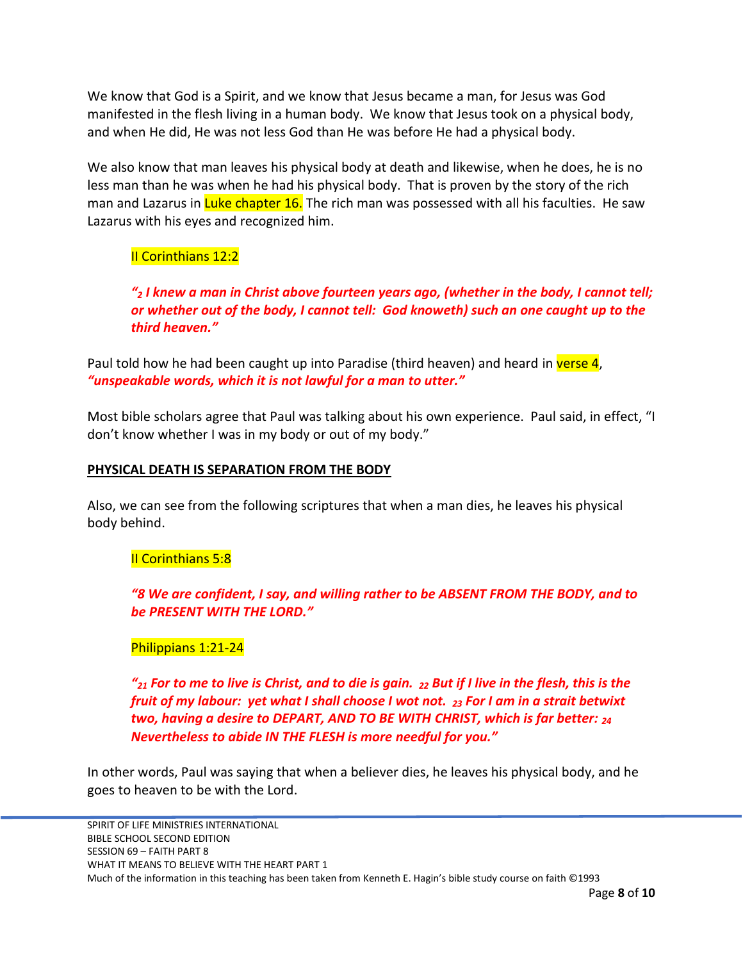We know that God is a Spirit, and we know that Jesus became a man, for Jesus was God manifested in the flesh living in a human body. We know that Jesus took on a physical body, and when He did, He was not less God than He was before He had a physical body.

We also know that man leaves his physical body at death and likewise, when he does, he is no less man than he was when he had his physical body. That is proven by the story of the rich man and Lazarus in Luke chapter 16. The rich man was possessed with all his faculties. He saw Lazarus with his eyes and recognized him.

# II Corinthians 12:2

*"<sup>2</sup> I knew a man in Christ above fourteen years ago, (whether in the body, I cannot tell; or whether out of the body, I cannot tell: God knoweth) such an one caught up to the third heaven."*

Paul told how he had been caught up into Paradise (third heaven) and heard in verse 4, *"unspeakable words, which it is not lawful for a man to utter."*

Most bible scholars agree that Paul was talking about his own experience. Paul said, in effect, "I don't know whether I was in my body or out of my body."

### **PHYSICAL DEATH IS SEPARATION FROM THE BODY**

Also, we can see from the following scriptures that when a man dies, he leaves his physical body behind.

### II Corinthians 5:8

*"8 We are confident, I say, and willing rather to be ABSENT FROM THE BODY, and to be PRESENT WITH THE LORD."*

## Philippians 1:21-24

*"<sup>21</sup> For to me to live is Christ, and to die is gain. <sup>22</sup> But if I live in the flesh, this is the fruit of my labour: yet what I shall choose I wot not. <sup>23</sup> For I am in a strait betwixt two, having a desire to DEPART, AND TO BE WITH CHRIST, which is far better: <sup>24</sup> Nevertheless to abide IN THE FLESH is more needful for you."*

In other words, Paul was saying that when a believer dies, he leaves his physical body, and he goes to heaven to be with the Lord.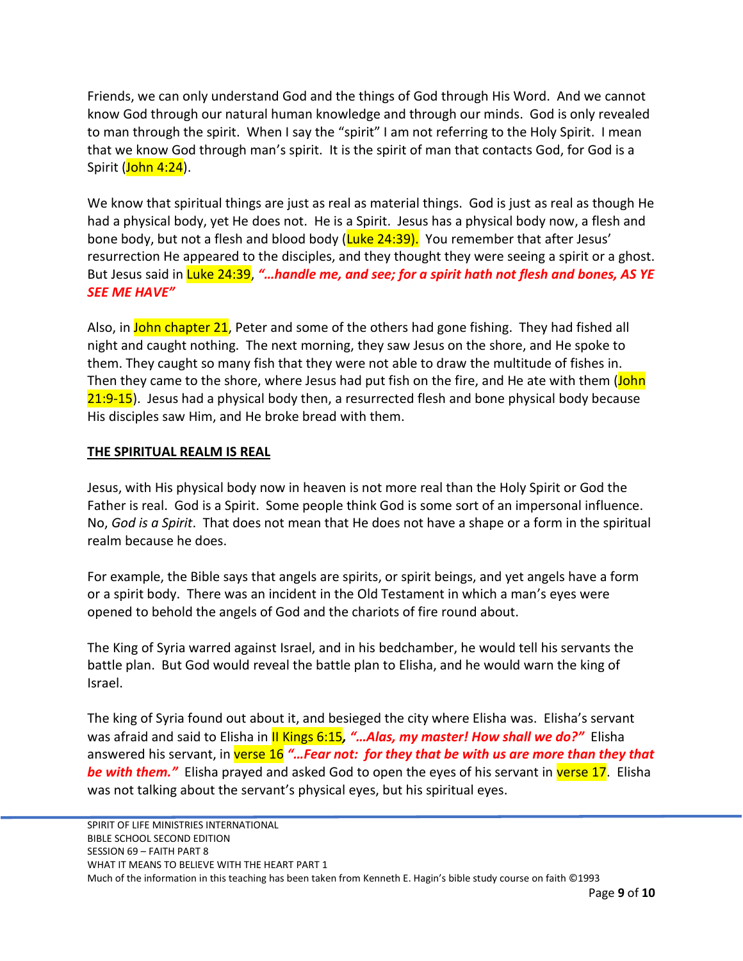Friends, we can only understand God and the things of God through His Word. And we cannot know God through our natural human knowledge and through our minds. God is only revealed to man through the spirit. When I say the "spirit" I am not referring to the Holy Spirit. I mean that we know God through man's spirit. It is the spirit of man that contacts God, for God is a Spirit (John 4:24).

We know that spiritual things are just as real as material things. God is just as real as though He had a physical body, yet He does not. He is a Spirit. Jesus has a physical body now, a flesh and bone body, but not a flesh and blood body (Luke 24:39). You remember that after Jesus' resurrection He appeared to the disciples, and they thought they were seeing a spirit or a ghost. But Jesus said in Luke 24:39, *"…handle me, and see; for a spirit hath not flesh and bones, AS YE SEE ME HAVE"*

Also, in John chapter 21, Peter and some of the others had gone fishing. They had fished all night and caught nothing. The next morning, they saw Jesus on the shore, and He spoke to them. They caught so many fish that they were not able to draw the multitude of fishes in. Then they came to the shore, where Jesus had put fish on the fire, and He ate with them (John 21:9-15). Jesus had a physical body then, a resurrected flesh and bone physical body because His disciples saw Him, and He broke bread with them.

### **THE SPIRITUAL REALM IS REAL**

Jesus, with His physical body now in heaven is not more real than the Holy Spirit or God the Father is real. God is a Spirit. Some people think God is some sort of an impersonal influence. No, *God is a Spirit*. That does not mean that He does not have a shape or a form in the spiritual realm because he does.

For example, the Bible says that angels are spirits, or spirit beings, and yet angels have a form or a spirit body. There was an incident in the Old Testament in which a man's eyes were opened to behold the angels of God and the chariots of fire round about.

The King of Syria warred against Israel, and in his bedchamber, he would tell his servants the battle plan. But God would reveal the battle plan to Elisha, and he would warn the king of Israel.

The king of Syria found out about it, and besieged the city where Elisha was. Elisha's servant was afraid and said to Elisha in II Kings 6:15*, "…Alas, my master! How shall we do?"* Elisha answered his servant, in verse 16 "... Fear not: for they that be with us are more than they that **be with them.**" Elisha prayed and asked God to open the eyes of his servant in verse 17. Elisha was not talking about the servant's physical eyes, but his spiritual eyes.